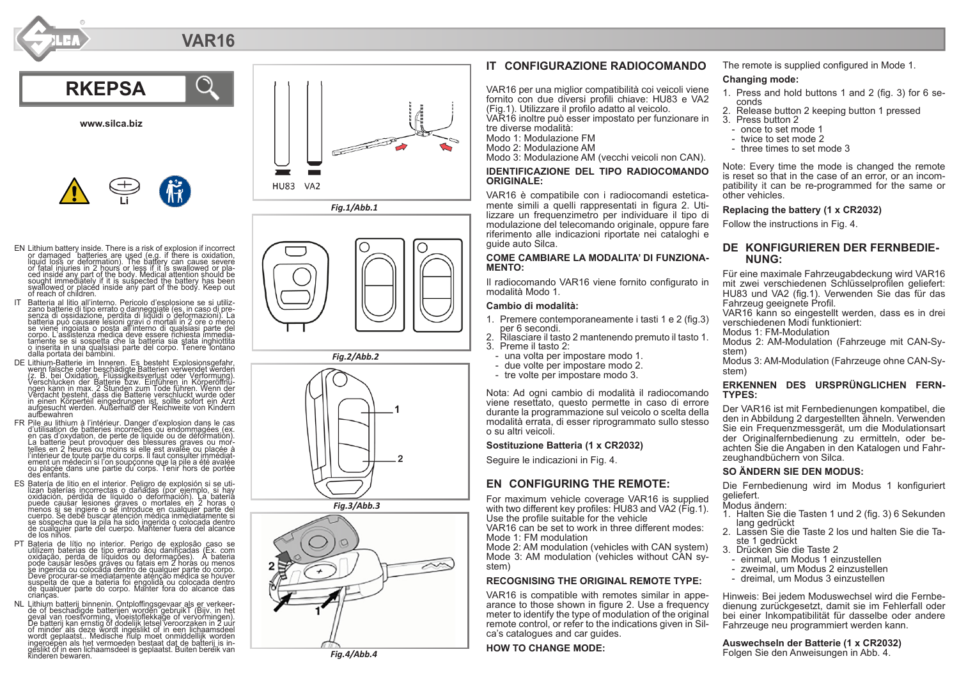# **VAR16**



**www.silca.biz**



- EN Lithium battery inside. There is a risk of explosion if incorrect or damaged batteries are used (e.g. if there is oxidation, liquid loss or deformation). The battery can cause severe or fatal injuries in 2 hours or less if it is swallowed or pla or fatal injuries in 2 hours or less if it is swallowed or pla-<br>ced inside any part of the body. Medical attention should be<br>sought immediately if it is suspected the battery has been<br>swallowed or placed inside any part of of reach of children.
- IT Batteria al litio all'interno. Pericolo d'esplosione se si utiliz zano batterie di tipo errato o danneggiate (es. in caso di pre- senza di ossidazione, perdita di liquidi o deformazioni). La batteria può causare lesioni gravi o mortali in 2 ore o meno se viene ingoiata o posta all'interno di qualsiasi parte del corpo. L'assistenza medica deve essere richiesta immedia - tamente se si sospetta che la batteria sia stata inghiottita o inserita in una qualsiasi parte del corpo. Tenere lontano dalla portata dei bambini.
- DE Lithium-Batterie im Inneren. Es besteht Explosionsgefahr<br>/cz. B. bei Oxidation, Flussigkeitsverlust oder Verschlucken<br>/cz. B. bei Oxidation, Flussigkeitsverlust oder Verformung)<br>/erschlucken der Batterie bzw. Einführen in einen Körperteil eingedrungen ist, sollte sofort ein Arzt aufgesucht werden. Außerhalb der Reichweite von Kindern aufbewahren
- FR Pile au lithium à l'intérieur. Danger d'explosion dans le cas<br>en d'utilisation de batteries incorrectes ou endommagées (ex.<br>en cas d'oxydation, de perte de liquide ou de déformation.<br>La batterie peut provoquer des pless l'intérieur de toute partie du corps. Il faut consulter immédiat-<br>ement un médecin si l'on soupçonne que la pile a été avalée<br>ou plaçée dans une partie du corps. Tenir hors de portée des enfants.
- ES Batería de litio en el interior. Peligro de explosión si se uti lizan baterías incorrectas o dañadas (por ejemplo, si hay oxidación, pérdida de líquido o deformación). La batería puede causar lesiones draves o mortales en 2 horas o<br>menos si se ingiere o se introduce en cualquier parte del<br>cuerpo. Se debe buscar atención médica inmediatamente si se sòspecha que la pila ha sido ingerida o colocada dentro<br>de cualquier parte del cuerpo. Mantener fuera del alcance<br>de los niños.
- PT Bateria de lítio no interior. Perigo de explosão caso se utilizem baterias de tipo errado aou danificadas (Ex. com oxidação, perda de líquidos ou deformações). A bateria pode causar lesões gráves ou fatais em 2 horas ou menos<br>se ingerida ou colocada dentro de qualquer parte do corpo.<br>Deve procurar-se imediatamente atenção médica se houver<br>suspelta de que a bateria foi engolida ou colocada crianças.<br>
NL Lithium batterij binnenin. Ontploffingsgevaar als er verkeer-
- NL Lithium batterij binnenin. Omtploffingsgevaar als er verkeer<br>de de of beschadigde batterijen worden gebruikt (Bijv, in het<br>De batterij kan ernstig of doelsijk letsel veroorzaken in 2 uur<br>overlingen), de batterij kan ern



*Fig.1/Abb.1*



*Fig.2/Abb.2*



*Fig.3/Abb.3*



# **IT CONFIGURAZIONE RADIOCOMANDO**

VAR16 per una miglior compatibilità coi veicoli viene fornito con due diversi profili chiave: HU83 e VA2 (Fig.1). Utilizzare il profilo adatto al veicolo. VAR16 inoltre può esser impostato per funzionare in tre diverse modalità:

Modo 1: Modulazione FM

Modo 2: Modulazione AM

Modo 3: Modulazione AM (vecchi veicoli non CAN).

#### **IDENTIFICAZIONE DEL TIPO RADIOCOMANDO ORIGINALE:**

VAR16 è compatibile con i radiocomandi estetica-<br>mente simili a quelli rappresentati in figura 2. Utilizzare un frequenzimetro per individuare il tipo di modulazione del telecomando originale, oppure fare riferimento alle indicazioni riportate nei cataloghi e guide auto Silca.

#### **COME CAMBIARE LA MODALITA' DI FUNZIONA-MENTO:**

Il radiocomando VAR16 viene fornito configurato in modalità Modo 1.

#### **Cambio di modalità:**

- 1. Premere contemporaneamente i tasti 1 e 2 (fig.3)
- 2. Rilasciare il tasto 2 mantenendo premuto il tasto 1.<br>3. Preme il tasto 2:<br>- una volta per impostare modo 1.<br>- une volte per impostare modo 2.<br>- tre volte per impostare modo 3.
	-
- 
- 

Nota: Ad ogni cambio di modalità il radiocomando viene resettato, questo permette in caso di errore durante la programmazione sul veicolo o scelta della modalità errata, di esser riprogrammato sullo stesso o su altri veicoli.

#### **Sostituzione Batteria (1 x CR2032)**

Seguire le indicazioni in Fig. 4.

# **EN CONFIGURING THE REMOTE:**

For maximum vehicle coverage VAR16 is supplied with two different key profiles: HU83 and VA2 (Fig.1). Use the profile suitable for the vehicle

VAR16 can be set to work in three different modes: Mode 1: FM modulation

Mode 2: AM modulation (vehicles with CAN system) Mode 3: AM modulation (vehicles without CAN sy stem)

### **RECOGNISING THE ORIGINAL REMOTE TYPE:**

VAR16 is compatible with remotes similar in appe arance to those shown in figure 2. Use a frequency meter to identify the type of modulation of the original remote control, or refer to the indications given in Sil ca's catalogues and car guides.

# **HOW TO CHANGE MODE:**

The remote is supplied configured in Mode 1.

#### **Changing mode:**

- 1. Press and hold buttons 1 and 2 (fig. 3) for 6 se
- 2. Release button 2 keeping button 1 pressed<br>3. Press button 2<br>- once to set mode 1<br>- twice to set mode 2<br>- three times to set mode 3
- 
- 
- 
- 

Note: Every time the mode is changed the remote is reset so that in the case of an error, or an incom patibility it can be re-programmed for the same or other vehicles.

#### **Replacing the battery (1 x CR2032)**

Follow the instructions in Fig. 4.

# **DE KONFIGURIEREN DER FERNBEDIE - NUNG:**

Für eine maximale Fahrzeugabdeckung wird VAR16 mit zwei verschiedenen Schlüsselprofilen geliefert: HU83 und VA2 (fig.1). Verwenden Sie das für das Fahrzeug geeignete Profil.

VAR16 kann so eingestellt werden, dass es in drei verschiedenen Modi funktioniert:

Modus 1: FM-Modulation

Modus 2: AM-Modulation (Fahrzeuge mit CAN-Sy - stem)

Modus 3: AM-Modulation (Fahrzeuge ohne CAN-Sy - stem)

# **ERKENNEN DES URSPRÜNGLICHEN FERN - TYPES:**

Der VAR16 ist mit Fernbedienungen kompatibel, die den in Abbildung 2 dargestellten ähneln. Verwenden Sie ein Frequenzmessgerät, um die Modulationsart der Originalfernbedienung zu ermitteln, oder be achten Sie die Angaben in den Katalogen und Fahr zeughandbüchern von Silca.

#### **SO ÄNDERN SIE DEN MODUS:**

Die Fernbedienung wird im Modus 1 konfiguriert geliefert.

- Modus ändern:
- 1. Halten Sie die Tasten 1 und 2 (fig. 3) 6 Sekunden
- lang gedrückt<br>2. Lassen Sie die Taste 2 los und halten Sie die Ta-<br>- ste 1 gedrückt<br>3. Drücken Sie die Taste 2<br>- einmal, um Modus 1 einzustellen<br>- zweimal, um Modus 2 einzustellen
- 
- 
- 
- dreimal, um Modus 3 einzustellen

Hinweis: Bei jedem Moduswechsel wird die Fernbe dienung zurückgesetzt, damit sie im Fehlerfall oder bei einer Inkompatibilität für dasselbe oder andere Fahrzeuge neu programmiert werden kann.

**Auswechseln der Batterie (1 x CR2032)** *Fig.4/Abb.4* Folgen Sie den Anweisungen in Abb. 4.